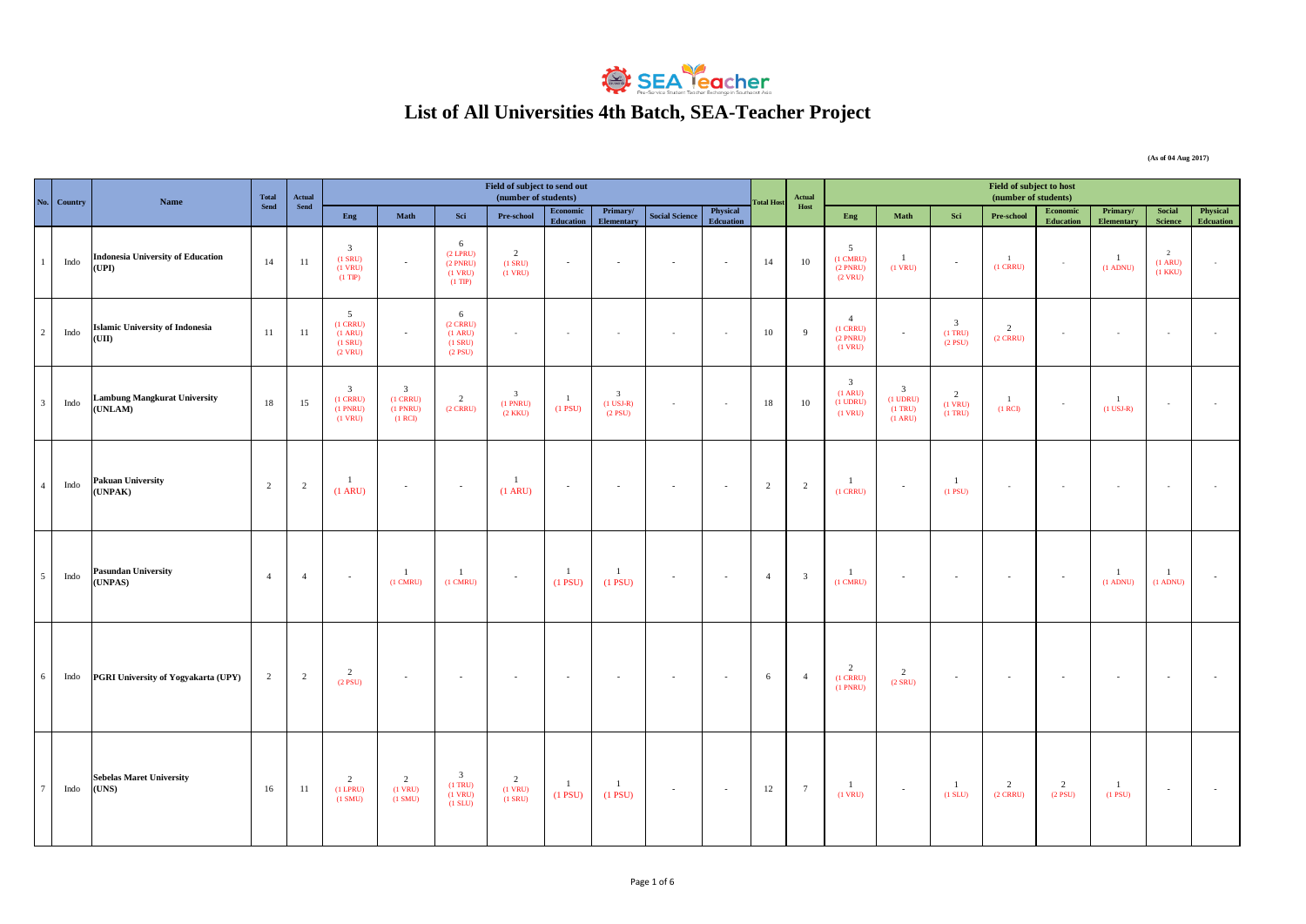

## **List of All Universities 4th Batch, SEA-Teacher Project**

**Eng Math Sci Pre-school Economic Education Primary/ Elementary Physical Science Physical Edenation Education Eng Math Sci Pre-school Economic** <br> **Education Education Primary/ Elementar Social Science Physical Edcuation** 1 Indo**nesia University of Education Indonesia University of Education (UPI)** 14 11 3 (1 SRU) (1 VRU)  $(1 \text{ TP})$ - 6 (2 LPRU) (2 PNRU) (1 VRU) (1 TIP)  $\overline{2}$ (1 SRU) (1 VRU) - 14 10 5 (1 CMRU) (2 PNRU)  $(2 \text{ VRU})$ 1 (1 VRU) - 1  $(1 \text{ CRRU})$ 1 (1 ADNU) 2 (1 ARU)  $(1 \text{ K} \text{K} \text{I})$ - <sup>2</sup> Indo **Islamic University of Indonesia (UII)** 11 11 5 (1 CRRU)  $(1 \text{ ARU})$  $(1$  SRU)  $(2 \text{ VRU})$ - 6 (2 CRRU)  $(1 \text{ ARU})$  $(1$  SRU)  $(2$  PSU) - **10 9** 4 (1 CRRU) (2 PNRU)  $(1 \text{ VRU})$ - 3 (1 TRU)  $(2$  PSU) 2 (2 CRRU) - - - - <sup>3</sup> Indo **Lambung Mangkurat University Lambung Mangkurat University** 18 15 3 (1 CRRU) (1 PNRU) (1 VRU) 3 (1 CRRU) (1 PNRU)  $(1$  RCI $)$ 2 (2 CRRU) 3 (1 PNRU) (2 KKU) 1 (1 PSU) 3 (1 USJ-R)  $(2$  PSU) - 18 10 3 (1 ARU) (1 UDRU) (1 VRU) 3 (1 UDRU) (1 TRU) (1 ARU) 2 (1 VRU)  $(1 \text{ TRU})$ 1  $(1$  RCD 1  $\frac{1}{(1 \text{ USJ-R})}$  -  $\frac{1}{(1 \text{ USJ-R})}$ <sup>4</sup> Indo **Pakuan University Pakuan University**<br>
(UNPAK) 2 2 2 1  $(1 \text{ ARU})$  $\frac{1}{(1 \text{ ARU})}$ (1 ARU) - - - - <sup>2</sup> <sup>2</sup> 1 (1 CRRU) - 1  $(1)$  PSU) - - - - - <sup>5</sup> Indo **Pasundan University (UNPAS)** <sup>4</sup> <sup>4</sup> - 1 (1 CMRU) 1 (1 CMRU) - 1 (1 PSU) 1  $\begin{array}{|c|c|c|c|c|c|c|c|c|} \hline 1 & & & & 4 & 3 \\ \hline (1 \text{ PSU}) & & & & 4 & 3 \\ \hline \end{array}$ 1 (1 CMRU) - - - - 1 (1 ADNU) 1 (1 ADNU) - Indo **PGRI University of Yogyakarta (UPY)** 2 2  $\overline{2}$  $(2)$  psub - - - - - - - 6 4 2 (1 CRRU) (1 PNRU) 2  $\alpha$  spin - - - - - - 7 Indo **Sebelas Maret University (UNS)** 16 11 2 (1 LPRU)  $(1 SMU)$ 2 (1 VRU)  $(1 SMU)$ 3 (1 TRU)  $(1 \text{ VRU})$  $(1 \text{ SLU})$ 2 (1 VRU) (1 SRU) 1 (1 PSU) 1  $\begin{array}{|c|c|c|c|c|c|c|c|c|} \hline 1 & - & 12 & 7 \\ \hline (1 \text{ P} \text{S} \text{U}) & - & 12 & 7 \\\hline \end{array}$ 1 (1 VRU) - 1 (1 SLU) 2 (2 CRRU) 2 (2 PSU) 1 (1 PSU) - - **Total Host Actual Host Field of subject to host**<br>(number of students) **(No.**  $\begin{bmatrix} \text{Country} \end{bmatrix}$  **Name Name (number of students)** *No.* $\begin{bmatrix} \text{Total Host} \end{bmatrix}$  **<b>***Next**Letter Country No.* $\begin{bmatrix} \text{Total Host} \end{bmatrix}$  $\begin{bmatrix} \text{Total Host} \end{bmatrix}$  $\begin{bmatrix} \text{Total Host} \end{bmatrix}$  $\begin{bmatrix} \text{Total Host} \end{bmatrix}$  **\begin{bmatrix} \text{Total Host Send Actual Send Field of subject to send out (number of students)**

**(As of 04 Aug 2017)**

Page 1 of 6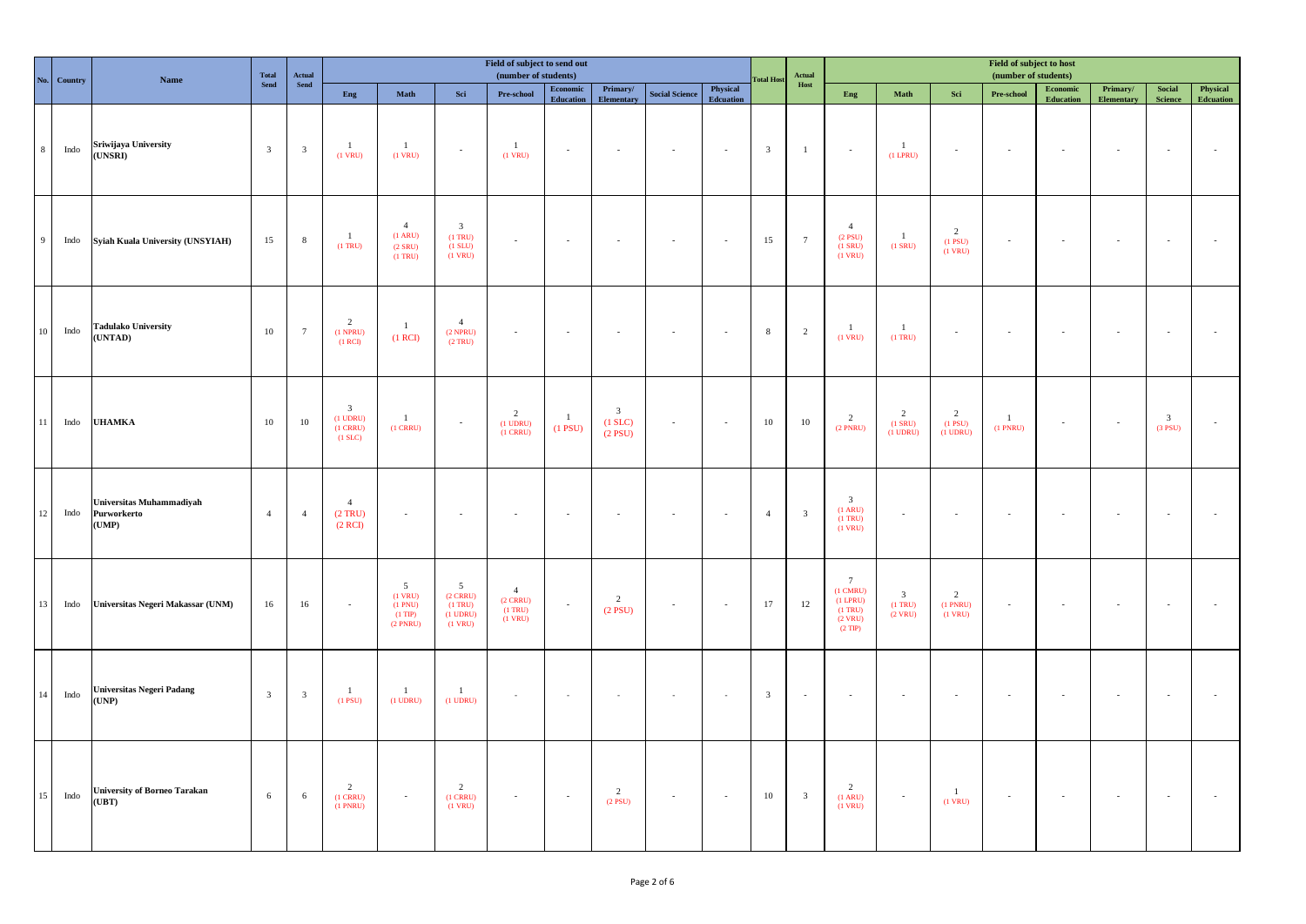| $N_0$          | Country | <b>Name</b>                                      | Total                   | $\bf Actual$<br>Send    |                                                                  |                                                                   |                                                                       | Field of subject to send out<br>(number of students)              |                                                                                                |                                                      |                       |                       | <b>Total Host</b>       | Actual                  |                                                                                               |                                              |                                              | Field of subject to host<br>(number of students) |                              |                               |                                      |                       |
|----------------|---------|--------------------------------------------------|-------------------------|-------------------------|------------------------------------------------------------------|-------------------------------------------------------------------|-----------------------------------------------------------------------|-------------------------------------------------------------------|------------------------------------------------------------------------------------------------|------------------------------------------------------|-----------------------|-----------------------|-------------------------|-------------------------|-----------------------------------------------------------------------------------------------|----------------------------------------------|----------------------------------------------|--------------------------------------------------|------------------------------|-------------------------------|--------------------------------------|-----------------------|
|                |         |                                                  | Send                    |                         | Eng                                                              | Math                                                              | Sci                                                                   | $\ensuremath{\mathbf{Pre}\text{-}\mathbf{school}}$                | $\begin{minipage}{.4\linewidth} \textbf{Economic} \end{minipage} \vspace{-0.5em}$<br>Education | Primary/<br>Elementary                               | <b>Social Science</b> | Physical<br>Edcuation |                         | Host                    | Eng                                                                                           | Math                                         | $\operatorname{\mathbf{Sci}}$                | Pre-school                                       | Economic<br><b>Education</b> | Primary/<br><b>Elementary</b> | <b>Social</b><br>Science             | Physical<br>Edcuation |
| $\,$ 8 $\,$    | Indo    | Sriwijaya University<br>(UNSRI)                  | $\overline{\mathbf{3}}$ | $\overline{\mathbf{3}}$ | $\mathbf{1}$<br>$(1$ VRU)                                        | $\mathbf{1}$<br>$(1$ VRU)                                         | $\sim$                                                                | $\mathbf{1}$<br>$(1$ VRU)                                         | $\sim$                                                                                         | $\sim$                                               | $\sim$                | $\sim$                | $\overline{\mathbf{3}}$ | $\mathbf{1}$            | $\sim$                                                                                        | $\mathbf{1}$<br>$(1$ LPRU $)$                | $\sim$                                       | $\sim$                                           | $\sim$                       | $\sim$                        | $\sim$                               | $\sim$                |
| $\overline{9}$ | Indo    | Syiah Kuala University (UNSYIAH)                 | 15                      | $\,$ 8 $\,$             | $\mathbf{1}$<br>$(1$ TRU $)$                                     | $\overline{4}$<br>$(1 \text{ ARU})$<br>$(2$ SRU)<br>$(1$ TRU)     | $\overline{\mathbf{3}}$<br>$(1$ TRU $)$<br>$(1$ SLU $)$<br>$(1$ VRU)  | $\sim$                                                            | $\sim$                                                                                         | $\sim$                                               | $\sim$                | $\sim$                | 15                      | $7\phantom{.0}$         | $\overline{4}$<br>$(2$ PSU)<br>$(1$ SRU)<br>$(1$ VRU)                                         | $\mathbf{1}$<br>$(1$ SRU)                    | 2<br>$(1$ PSU $)$<br>$(1$ VRU)               | $\sim$                                           | $\sim$                       |                               | $\sim$                               |                       |
| $10\,$         | Indo    | <b>Tadulako University</b><br>(UNTAD)            | $10\,$                  | $7\phantom{.0}$         | $\overline{2}$<br>$(1$ NPRU)<br>(1 RCI)                          | $\mathbf{1}$<br>(1 RCI)                                           | $\overline{4}$<br>$(2$ NPRU)<br>(2 TRU)                               | $\sim$                                                            | $\sim$                                                                                         | $\sim$                                               | $\sim$                | $\sim$                | $\,$ 8                  | $\overline{2}$          | $\mathbf{1}$<br>$(1$ VRU)                                                                     | $\overline{1}$<br>$(1$ TRU)                  | $\sim$                                       |                                                  |                              |                               | $\sim$                               |                       |
| $11\,$         | Indo    | <b>UHAMKA</b>                                    | $10\,$                  | $10\,$                  | $\mathfrak{Z}$<br>$(1$ UDRU $)$<br>$(1$ CRRU $)$<br>$(1$ SLC $)$ | $\mathbf{1}$<br>$(1$ CRRU $)$                                     | $\sim$                                                                | $\overline{2}$<br>$(1$ UDRU $)$<br>$(1$ CRRU)                     | $\mathbf{1}$<br>$(1$ PSU)                                                                      | $\overline{\mathbf{3}}$<br>$(1$ SLC $)$<br>$(2$ PSU) | $\sim$                | $\sim$                | $10\,$                  | $10\,$                  | 2<br>$(2$ PNRU)                                                                               | $\overline{2}$<br>$(1$ SRU)<br>$(1$ UDRU $)$ | 2<br>$(1$ PSU)<br>$(1$ UDRU $)$              | $\mathbf{1}$<br>$(1$ PNRU)                       | $\sim$                       | $\sim$                        | $\overline{\mathbf{3}}$<br>$(3$ PSU) |                       |
| $12\,$         | Indo    | Universitas Muhammadiyah<br>Purworkerto<br>(UMP) | $\overline{4}$          | $\overline{4}$          | $\overline{4}$<br>(2 TRU)<br>(2 RCI)                             | $\sim$                                                            |                                                                       |                                                                   |                                                                                                | $\sim$                                               | $\sim$                | $\sim$                | $\overline{4}$          | $\overline{\mathbf{3}}$ | $\overline{\mathbf{3}}$<br>$(1$ ARU)<br>$(1$ TRU)<br>$(1$ VRU)                                |                                              |                                              |                                                  |                              |                               | $\sim$                               |                       |
| 13             | Indo    | Universitas Negeri Makassar (UNM)                | 16                      | 16                      | $\sim$                                                           | $\overline{5}$<br>$(1$ VRU)<br>(1 PNU)<br>$(1$ TIP)<br>$(2$ PNRU) | $5\overline{)}$<br>$(2$ CRRU)<br>$(1$ TRU)<br>$(1$ UDRU)<br>$(1$ VRU) | $\overline{4}$<br>$(2 \text{ CRRU})$<br>$(1$ TRU $)$<br>$(1$ VRU) | $\sim$                                                                                         | 2<br>$(2$ PSU)                                       | $\sim$                | $\sim$                | 17                      | $12\,$                  | $7\overline{ }$<br>$(1 \text{ CMRU})$<br>$(1$ LPRU)<br>$(1$ TRU $)$<br>$(2$ VRU)<br>$(2$ TIP) | $\mathbf{3}$<br>$(1$ TRU)<br>$(2$ VRU)       | $\overline{2}$<br>$(1$ PNRU $)$<br>$(1$ VRU) |                                                  |                              |                               | $\sim$                               |                       |
| 14             | Indo    | Universitas Negeri Padang<br>(UNP)               | $\mathbf{3}$            | $\overline{\mathbf{3}}$ | $\overline{1}$<br>$(1$ PSU)                                      | $\mathbf{1}$<br>$(1$ UDRU)                                        | $\!-1\!$<br>$(1$ UDRU)                                                |                                                                   |                                                                                                |                                                      |                       | $\sim$                | $\overline{\mathbf{3}}$ | $\sim$                  | $\sim$                                                                                        | $\sim$                                       | $\sim$                                       |                                                  |                              |                               | $\sim$                               |                       |
| 15             | Indo    | <b>University of Borneo Tarakan</b><br>(UBT)     | 6                       | 6                       | $\overline{2}$<br>$(1$ CRRU)<br>$(1$ PNRU $)$                    | $\omega$                                                          | $\overline{2}$<br>$(1$ CRRU $)$<br>$(1$ VRU)                          | $\sim$                                                            | $\sim$                                                                                         | 2<br>$(2$ PSU)                                       | $\sim$                | $\sim$                | $10\,$                  | $\overline{\mathbf{3}}$ | $\overline{2}$<br>$(1$ ARU)<br>$(1$ VRU)                                                      | $\sim$                                       | $\mathbf{1}$<br>$(1$ VRU)                    | $\sim$                                           | $\sim$                       | $\sim$                        | $\sim$                               |                       |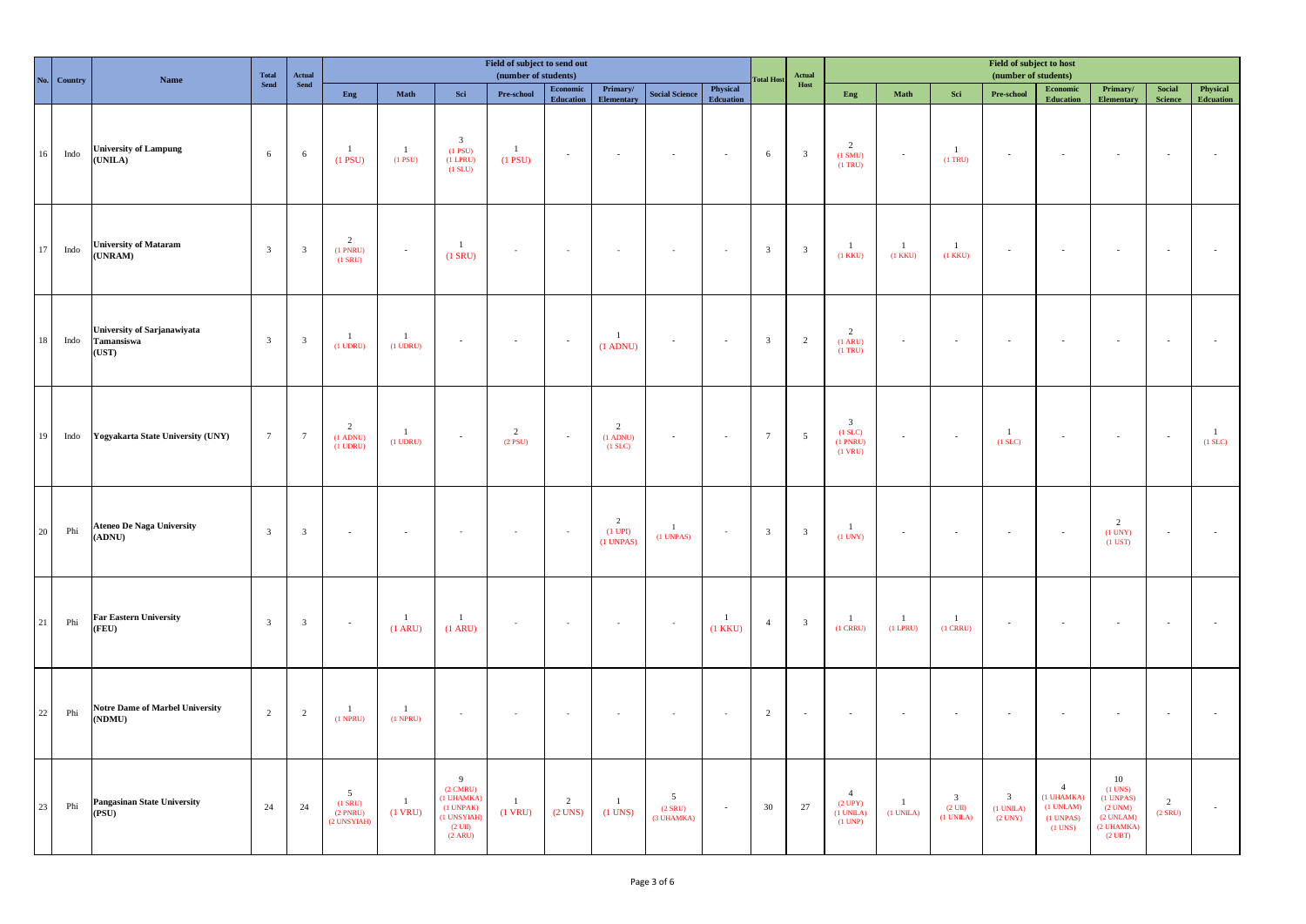|        | No. Country | Name                                               | Total                   | $\bf Actual$<br>${\bf Send}$ |                                                |                               |                                                                                                                          | Field of subject to send out<br>(number of students) |                                                                                                |                                              |                                           |                                | <b>Fotal Host</b>       | Actual                  |                                                                       |                              |                                                                | Field of subject to host<br>(number of students)          |                                                                          |                                                                                                  |                          |                              |
|--------|-------------|----------------------------------------------------|-------------------------|------------------------------|------------------------------------------------|-------------------------------|--------------------------------------------------------------------------------------------------------------------------|------------------------------------------------------|------------------------------------------------------------------------------------------------|----------------------------------------------|-------------------------------------------|--------------------------------|-------------------------|-------------------------|-----------------------------------------------------------------------|------------------------------|----------------------------------------------------------------|-----------------------------------------------------------|--------------------------------------------------------------------------|--------------------------------------------------------------------------------------------------|--------------------------|------------------------------|
|        |             |                                                    | Send                    |                              | Eng                                            | Math                          | Sci                                                                                                                      | Pre-school                                           | $\begin{minipage}{.4\linewidth} \textbf{Economic} \end{minipage} \vspace{-0.5em}$<br>Education | Primary/<br><b>Elementary</b>                | <b>Social Science</b>                     | Physical<br><b>Edcuation</b>   |                         | Host                    | Eng                                                                   | Math                         | $\operatorname{\mathbf{Sci}}$                                  | Pre-school                                                | Economic<br><b>Education</b>                                             | Primary/<br><b>Elementary</b>                                                                    | Social<br><b>Science</b> | Physical<br><b>Edcuation</b> |
| 16     | Indo        | <b>University of Lampung</b><br>(UNILA)            | 6                       | 6                            | $\overline{1}$<br>$(1$ PSU)                    | $\mathbf{1}$<br>$(1$ PSU)     | $\overline{\mathbf{3}}$<br>$(1$ PSU $)$<br>$(1$ LPRU)<br>(1 SLU)                                                         | $\mathbf{1}$<br>$(1$ PSU $)$                         | $\sim$                                                                                         | $\sim$                                       | $\sim$                                    | $\sim$                         | 6                       | $\overline{\mathbf{3}}$ | $\overline{2}$<br>(1 SMU)<br>$(1$ TRU $)$                             | $\sim$                       | $\mathbf{1}$<br>$(1$ TRU $)$                                   | $\sim$                                                    | $\sim$                                                                   | $\sim$                                                                                           | $\sim$                   |                              |
| 17     | Indo        | <b>University of Mataram</b><br>(UNRAM)            | $\overline{\mathbf{3}}$ | $\overline{\mathbf{3}}$      | $\overline{2}$<br>$(1$ PNRU $)$<br>$(1$ SRU)   | $\sim$                        | $\overline{1}$<br>$(1$ SRU)                                                                                              | $\sim$                                               | $\cdot$                                                                                        | $\sim$                                       | $\sim$                                    | $\sim$                         | $\overline{\mathbf{3}}$ | $\overline{\mathbf{3}}$ | $\mathbf{1}$<br>$(1$ KKU)                                             | $\mathbf{1}$<br>$(1$ KKU $)$ | $\mathbf{1}$<br>$(1$ KKU $)$                                   | $\mathcal{L}_{\mathcal{A}}$                               | ÷.                                                                       |                                                                                                  | $\sim$                   |                              |
| 18     | Indo        | University of Sarjanawiyata<br>Tamansiswa<br>(UST) | $\overline{\mathbf{3}}$ | $\overline{\mathbf{3}}$      | $\overline{1}$<br>$(1$ UDRU $)$                | $\mathbf{1}$<br>$(1$ UDRU $)$ | $\overline{\phantom{a}}$                                                                                                 | $\sim$                                               | $\sim$                                                                                         | $\overline{1}$<br>$(1$ ADNU)                 | $\sim$                                    | $\sim$                         | $\overline{\mathbf{3}}$ | $\overline{2}$          | $\overline{c}$<br>$(1 \text{ ARU})$<br>$(1$ TRU)                      | $\sim$                       | $\sim$                                                         | $\sim$                                                    | $\sim$                                                                   | $\sim$                                                                                           | $\sim$                   |                              |
| 19     | Indo        | Yogyakarta State University (UNY)                  | $7\overline{ }$         | $7\phantom{.0}$              | $\overline{2}$<br>$(1$ ADNU)<br>$(1$ UDRU)     | $\mathbf{1}$<br>$(1$ UDRU $)$ | $\sim$                                                                                                                   | $\overline{2}$<br>$(2$ PSU)                          | $\sim$                                                                                         | $\overline{2}$<br>$(1$ ADNU)<br>$(1$ SLC $)$ | $\sim$                                    | $\sim$                         | $7\overline{ }$         | 5                       | $\overline{\mathbf{3}}$<br>$(1$ SLC $)$<br>$(1$ PNRU)<br>$(1$ VRU $)$ | $\sim$                       | $\sim$                                                         | $\overline{1}$<br>$(1$ SLC)                               | $\sim$                                                                   | $\sim$                                                                                           | $\sim$                   | $\mathbf{1}$<br>$(1$ SLC $)$ |
| $20\,$ | ${\rm Phi}$ | <b>Ateneo De Naga University</b><br>(ADNU)         | $\overline{\mathbf{3}}$ | $\overline{\mathbf{3}}$      | ÷,                                             |                               |                                                                                                                          |                                                      | $\overline{\phantom{a}}$                                                                       | $\overline{2}$<br>$(1$ UPI)<br>$(1$ UNPAS)   | $\overline{1}$<br>$(1$ UNPAS $)$          | $\sim$                         | $\overline{\mathbf{3}}$ | $\overline{\mathbf{3}}$ | $\mathbf{1}$<br>(1 UNY)                                               |                              |                                                                |                                                           | $\overline{a}$                                                           | 2<br>$(1$ UNY $)$<br>$(1$ UST $)$                                                                | $\mathcal{A}$            |                              |
| $21\,$ | Phi         | <b>Far Eastern University</b><br>(FEU)             | $\overline{\mathbf{3}}$ | $\overline{\mathbf{3}}$      | $\sim$                                         | $\mathbf{1}$<br>(1 ARU)       | $\mathbf{1}$<br>(1 ARU)                                                                                                  |                                                      | $\sim$                                                                                         | $\overline{\phantom{a}}$                     |                                           | $\overline{1}$<br>$(1$ KKU $)$ | $\overline{4}$          | $\overline{\mathbf{3}}$ | $\mathbf{1}$<br>$(1$ CRRU $)$                                         | $\overline{1}$<br>$(1$ LPRU) | $\overline{1}$<br>$(1$ CRRU)                                   | $\sim$                                                    | $\sim$                                                                   | $\sim$                                                                                           | $\sim$                   |                              |
| $22\,$ | ${\rm Phi}$ | <b>Notre Dame of Marbel University</b><br>(NDMU)   | 2                       | 2                            | $\mathbf{1}$<br>$(1$ NPRU)                     | $\mathbf{1}$<br>$(1$ NPRU)    | $\overline{\phantom{a}}$                                                                                                 |                                                      | $\sim$                                                                                         | $\epsilon$                                   |                                           |                                | $\overline{2}$          | ÷.                      | $\sim$                                                                |                              |                                                                |                                                           |                                                                          |                                                                                                  | $\sim$                   |                              |
| 23     | Phi         | Pangasinan State University<br>(PSU)               | 24                      | 24                           | 5<br>$(1$ SRU $)$<br>$(2$ PNRU)<br>(2 UNSYIAH) | $1\,$<br>$(1$ VRU)            | $\overline{9}$<br>$(2 \text{ CMRU})$<br>(1 UHAMKA)<br>(1 UNPAK)<br>(1 UNSYIAH)<br>$(2 \text{ UII})$<br>$(2 \text{ ARU})$ | $\mathbf{1}$<br>$(1$ VRU)                            | $\overline{2}$<br>$(2$ UNS $)$                                                                 | $\mathbf{1}$<br>$(1$ UNS)                    | $\overline{5}$<br>$(2$ SRU)<br>(3 UHAMKA) | $\sim$                         | 30                      | 27                      | $\overline{4}$<br>$(2 \text{ UPY})$<br>(1 UNILA)<br>$(1$ UNP)         | -1<br>(1 UNILA)              | $\overline{\mathbf{3}}$<br>$(2 \text{ UII})$<br>$(1$ UNILA $)$ | $\overline{\mathbf{3}}$<br>$(1$ UNILA $)$<br>$(2$ UNY $)$ | $\overline{4}$<br>(1 UHAMKA)<br>(1 UNLAM)<br>$(1$ UNPAS $)$<br>$(1$ UNS) | $10\,$<br>$(1$ UNS)<br>(1 UNPAS)<br>$(2$ UNM $)$<br>(2 UNLAM)<br>(2 UHAMKA)<br>$(2 \text{ UBT})$ | 2<br>$(2$ SRU $)$        | $\sim$                       |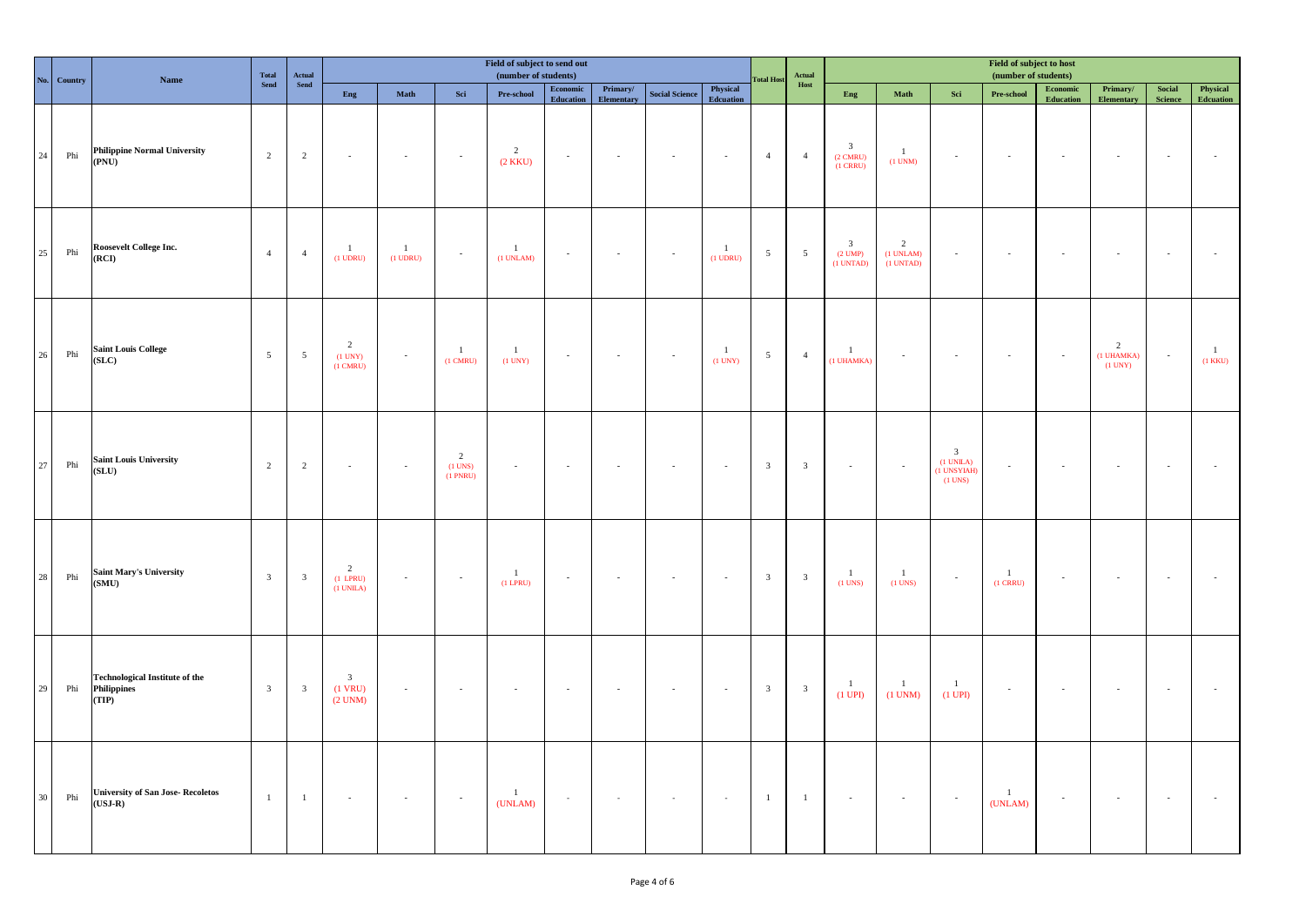|             | No. Country | Name                                                                 | Total                   | ${\bf \small \textbf{Actual} \atop \textbf{Send}}$ |                                                      |                               |                                           | Field of subject to send out<br>(number of students) |                                                                                                |                        |                       |                                | <b>Fotal Host</b>       | Field of subject to host<br>(number of students)<br>$\bold{Actual}$ |                                                                |                                    |                                                           |                            |                                                                                                |                                           |                          |                                |
|-------------|-------------|----------------------------------------------------------------------|-------------------------|----------------------------------------------------|------------------------------------------------------|-------------------------------|-------------------------------------------|------------------------------------------------------|------------------------------------------------------------------------------------------------|------------------------|-----------------------|--------------------------------|-------------------------|---------------------------------------------------------------------|----------------------------------------------------------------|------------------------------------|-----------------------------------------------------------|----------------------------|------------------------------------------------------------------------------------------------|-------------------------------------------|--------------------------|--------------------------------|
|             |             |                                                                      | ${\bf Send}$            |                                                    | Eng                                                  | Math                          | Sci                                       | Pre-school                                           | $\begin{minipage}{.4\linewidth} \textbf{Economic} \end{minipage} \vspace{-0.5em}$<br>Education | Primary/<br>Elementary | <b>Social Science</b> | Physical<br><b>Edcuation</b>   |                         | $\bold{Host}$                                                       | Eng                                                            | Math                               | Sci                                                       | Pre-school                 | $\begin{minipage}{.4\linewidth} \textbf{Economic} \end{minipage} \vspace{-0.5em}$<br>Education | Primary/<br>Elementary                    | Social<br><b>Science</b> | Physical<br><b>Edcuation</b>   |
| $\sqrt{24}$ | Phi         | <b>Philippine Normal University</b><br>(PNU)                         | $\overline{2}$          | 2                                                  | $\sim$                                               | $\sim$                        | $\sim$                                    | $\overline{2}$<br>(2 KKU)                            | $\sim$                                                                                         | $\sim$                 | $\sim$                | $\sim$                         | $\overline{4}$          | $\overline{4}$                                                      | $\overline{\mathbf{3}}$<br>$(2 \text{ CMRU})$<br>$(1$ CRRU $)$ | -1<br>$(1$ UNM)                    | $\sim$                                                    | $\sim$                     | $\sim$                                                                                         |                                           | $\sim$                   |                                |
| $25\,$      | ${\rm Phi}$ | Roosevelt College Inc.<br>(RCI)                                      | $\overline{4}$          | $\overline{4}$                                     | $\overline{1}$<br>$(1$ UDRU $)$                      | $\mathbf{1}$<br>$(1$ UDRU $)$ | $\sim$                                    | $\mathbf{1}$<br>$(1$ UNLAM $)$                       | $\sim$                                                                                         | $\sim$                 | $\sim$                | $\frac{1}{2}$<br>$(1$ UDRU $)$ | $\overline{5}$          | $\overline{5}$                                                      | $\overline{\mathbf{3}}$<br>$(2$ UMP)<br>$(1$ UNTAD)            | 2<br>$(1$ UNLAM $)$<br>$(1$ UNTAD) | $\sim$                                                    | ÷.                         | Ξ.                                                                                             |                                           | $\sim$                   |                                |
| $26\,$      | Phi         | <b>Saint Louis College</b><br>(SLC)                                  | $5\overline{5}$         | $\overline{5}$                                     | $\overline{2}$<br>$(1$ UNY $)$<br>$(1 \text{ CMRU})$ | $\omega$                      | $\mathbf{1}$<br>$(1 \text{ CMRU})$        | $\mathbf{1}$<br>$(1$ UNY $)$                         | $\sim$                                                                                         | $\sim$                 | $\sim$                | $\overline{1}$<br>$(1$ UNY $)$ | $\overline{5}$          | $\overline{4}$                                                      | $\mathbf{1}$<br>(1 UHAMKA)                                     | $\sim$                             | $\sim$                                                    | $\sim$                     | Ξ.                                                                                             | $\frac{2}{(1 \text{ UHAMKA})}$<br>(1 UNY) | $\sim$ $\sim$            | $\overline{1}$<br>$(1$ KKU $)$ |
| 27          | Phi         | <b>Saint Louis University</b><br>(SLU)                               | $\overline{2}$          | $\overline{2}$                                     | $\omega$                                             | $\sim$                        | $\frac{2}{(1 \text{ UNS})}$<br>$(1$ PNRU) | $\sim$                                               | $\sim$                                                                                         | $\sim$                 | $\sim$                | $\sim$                         | $\overline{\mathbf{3}}$ | $\mathbf{3}$                                                        | $\sim$                                                         | $\sim$                             | $\frac{3}{(1 \text{ UNILA})}$<br>(1 UNSYIAH)<br>$(1$ UNS) | $\sim$                     | $\sim$                                                                                         |                                           | $\mathcal{A}$            |                                |
| $\bf 28$    | ${\rm Phi}$ | ${\bf Saint \, Mary's \, University}\label{eq:1}$<br>(SMU)           | $\overline{\mathbf{3}}$ | $\overline{\mathbf{3}}$                            | $\overline{2}$<br>$(1$ LPRU)<br>$(1$ UNILA $)$       | $\sim$                        | $\sim$                                    | $\mathbf{1}$<br>$(1$ LPRU)                           | $\sim$                                                                                         | $\sim$                 | $\sim$                | $\sim$                         | $\overline{\mathbf{3}}$ | $\overline{\mathbf{3}}$                                             | $\mathbf{1}$<br>$(1$ UNS)                                      | $\overline{1}$<br>$(1$ UNS)        | $\sim$                                                    | $\mathbf{1}$<br>$(1$ CRRU) | $\omega$                                                                                       | $\overline{\phantom{a}}$                  | $\sim$                   |                                |
| $29\,$      | Phi         | <b>Technological Institute of the</b><br><b>Philippines</b><br>(TIP) | $\mathbf{3}$            | $\overline{\mathbf{3}}$                            | $\mathbf{3}$<br>$(1$ VRU)<br>$(2$ UNM $)$            | $\sim$                        | $\sim$                                    | $\sim$                                               | $\sim$                                                                                         | $\sim$                 | $\sim$                | $\sim$                         | $\overline{\mathbf{3}}$ | $\overline{\mathbf{3}}$                                             | $\,1\,$<br>$(1$ UPI $)$                                        | $\mathbf{1}$<br>$(1$ UNM $)$       | $\mathbf{1}$<br>$(1$ UPI)                                 | $\sim$                     | $\sim$                                                                                         | $\sim$                                    | $\sim$                   |                                |
| 30          | Phi         | <b>University of San Jose- Recoletos</b><br>$(USJ-R)$                | $\mathbf{1}$            | $\mathbf{1}$                                       | $\sim$                                               | $\sim$                        | $\sim$                                    | $\overline{1}$<br>(UNLAM)                            | $\sim$                                                                                         | $\sim$                 | $\sim$                | $\sim$                         | $\overline{1}$          | $\mathbf{1}$                                                        | $\sim$                                                         | $\sim$                             | $\sim$                                                    | $\overline{1}$<br>(UNLAM)  | $\sim$                                                                                         | $\sim$                                    | $\sim$                   |                                |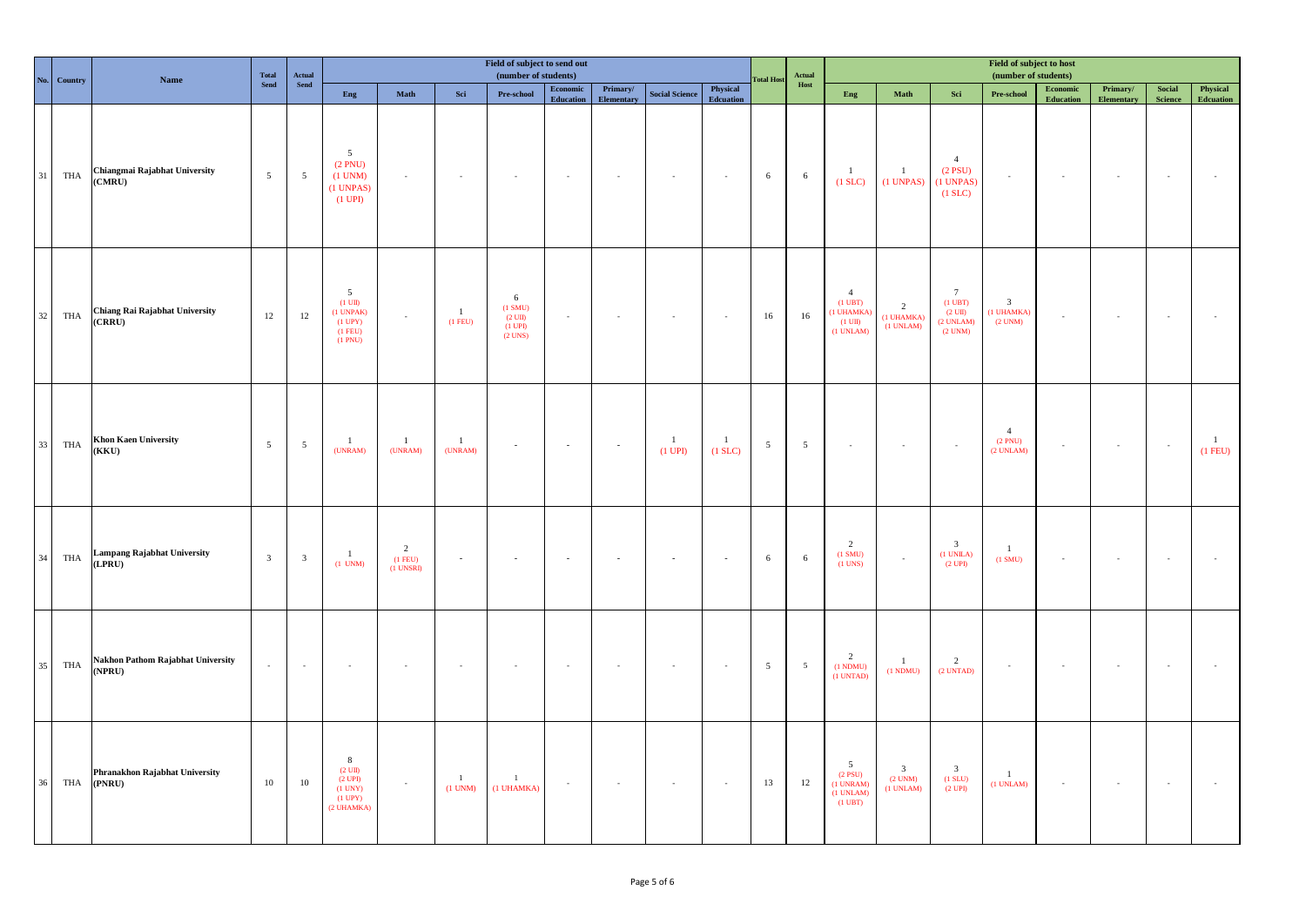| No. | Country | <b>Name</b>                                                                            | Total           | ${\bf Actual}\atop{\bf Send}$ |                                                                                  |                                            |                               | Field of subject to send out<br>(number of students)           |                              |                       |                           |                           | <b>Total Host</b> | Actual          | Field of subject to host<br>(number of students)                                         |                                                      |                                                                                     |                                                         |                                                                                                       |                               |                                |                             |  |
|-----|---------|----------------------------------------------------------------------------------------|-----------------|-------------------------------|----------------------------------------------------------------------------------|--------------------------------------------|-------------------------------|----------------------------------------------------------------|------------------------------|-----------------------|---------------------------|---------------------------|-------------------|-----------------|------------------------------------------------------------------------------------------|------------------------------------------------------|-------------------------------------------------------------------------------------|---------------------------------------------------------|-------------------------------------------------------------------------------------------------------|-------------------------------|--------------------------------|-----------------------------|--|
|     |         |                                                                                        | Send            |                               | Eng                                                                              | $\mathbf{Math}$                            | $\operatorname{\mathbf{Sci}}$ | Pre-school                                                     | Economic<br><b>Education</b> | Primary/<br>Elementar | <b>Social Science</b>     | Physical<br>Edcuation     |                   | Host            | Eng                                                                                      | Math                                                 | Sci                                                                                 | $\ensuremath{\mathbf{Pre}\text{-}\mathrm{school}}$      | $\begin{minipage}{.4\linewidth} \textbf{Economic} \end{minipage} \vspace{-0.5em}$<br><b>Education</b> | Primary/<br><b>Elementary</b> | $\bf Social$<br><b>Science</b> | Physical<br>Edcuation       |  |
| 31  | THA     | Chiangmai Rajabhat University<br>(CMRU)                                                | $5\overline{ }$ | $\overline{5}$                | 5<br>(2 PNU)<br>$(1$ UNM $)$<br>$(1$ UNPAS)<br>$(1 \text{ UPI})$                 | $\sim$                                     | $\mathcal{L}$                 |                                                                | $\sim$                       | $\sim$                | $\sim$                    | $\sim$                    | 6                 | 6               | $\mathbf{1}$<br>$(1$ SLC $)$                                                             | $\mathbf{1}$<br>$(1$ UNPAS $)$                       | $\overline{4}$<br>$(2$ PSU)<br>$(1$ UNPAS $)$<br>$(1$ SLC $)$                       | $\sim$                                                  | $\sim$                                                                                                | $\sim$                        | $\sim$                         |                             |  |
| 32  | THA     | Chiang Rai Rajabhat University<br>(CRRU)                                               | 12              | 12                            | 5<br>$(1 \text{ UII})$<br>$(1$ UNPAK $)$<br>$(1$ UPY $)$<br>$(1$ FEU)<br>(1 PNU) | $\sim$                                     | $\overline{1}$<br>$(1$ FEU)   | 6<br>(1 SMU)<br>$(2 \text{ UII})$<br>$(1$ UPI $)$<br>$(2$ UNS) | $\sim$                       | $\sim$                | $\sim$                    | $\sim$                    | 16                | 16              | $\overline{4}$<br>$(1 \text{ UBT})$<br>(1 UHAMKA)<br>$(1 \text{ UII})$<br>$(1$ UNLAM $)$ | $\overline{2}$<br>(1 UHAMKA)<br>(1 UNLAM)            | $7\overline{ }$<br>$(1 \text{ UBT})$<br>$(2 \text{ UII})$<br>(2 UNLAM)<br>$(2$ UNM) | $\overline{\mathbf{3}}$<br>(1 UHAMKA)<br>$(2$ UNM $)$   | $\sim$                                                                                                | $\sim$                        | $\sim$                         |                             |  |
| 33  | THA     | <b>Khon Kaen University</b><br>(KKU)                                                   | $5\overline{)}$ | $\overline{5}$                | $\mathbf{1}$<br>(UNRAM)                                                          | $\mathbf{1}$<br>(UNRAM)                    | $\mathbf{1}$<br>(UNRAM)       |                                                                | $\sim$                       | $\sim$                | $\mathbf{1}$<br>$(1$ UPI) | $\mathbf{1}$<br>$(1$ SLC) | $5\phantom{.0}$   | $5\overline{)}$ | $\sim$                                                                                   |                                                      | $\sim$                                                                              | $\overline{4}$<br>$(2 \text{ PNU})$ $(2 \text{ UNLAM})$ | $\sim$                                                                                                | $\sim$                        | $\sim$                         | $\overline{1}$<br>$(1$ FEU) |  |
| 34  | THA     | $\begin{array}{c} \textbf{Lampang Rajabhat University} \\ \textbf{(LPRU)} \end{array}$ | $\overline{3}$  | $\overline{\mathbf{3}}$       | $\mathbf{1}$<br>$(1$ UNM)                                                        | $\overline{2}$<br>$(1$ FEU)<br>$(1$ UNSRI) | $\mathcal{L}_{\mathcal{A}}$   |                                                                | $\sim$                       | $\sim$                | $\sim$                    | $\sim$                    | $\sqrt{6}$        | 6               | $\overline{c}$<br>$(1 \text{ SMU})$<br>$(1$ UNS)                                         | $\sim$                                               | $\overline{\mathbf{3}}$<br>$(1$ UNILA $)$<br>$(2 \text{ UPI})$                      | $\mathbf{1}$<br>(1 SMU)                                 | ×                                                                                                     | $\sim$                        | $\sim$                         |                             |  |
| 35  | THA     | Nakhon Pathom Rajabhat University<br>(NPRU)                                            | $\sim$          | $\sim$                        | $\sim$                                                                           |                                            | $\sim$                        |                                                                | $\sim$                       | $\sim$                | $\sim$                    | $\sim$                    | $5\overline{5}$   | $\overline{5}$  | $\overline{c}$<br>(1 NDMU)<br>$(1$ UNTAD)                                                | $\mathbf{1}$<br>(1 NDMU)                             | $\overline{2}$<br>$(2$ UNTAD)                                                       | $\sim$                                                  | $\sim$                                                                                                | $\sim$                        | $\sim$                         |                             |  |
| 36  | THA     | Phranakhon Rajabhat University<br>(PNRU)                                               | $10\,$          | $10\,$                        | 8<br>$(2 \text{ UI})$<br>(2 UPI)<br>$(1$ UNY $)$<br>$(1$ UPY $)$<br>(2 UHAMKA)   | $\sim$                                     | $\mathbf{1}$<br>$(1$ UNM)     | $\mathbf{1}$<br>(1 UHAMKA)                                     | $\sim$                       | $\sim$                | $\sim$                    | $\sim$                    | 13                | 12              | $\overline{5}$<br>$(2$ PSU)<br>(1 UNRAM)<br>(1 UNLAM)<br>$(1 \text{ UBT})$               | $\overline{\mathbf{3}}$<br>$(2$ UNM $)$<br>(1 UNLAM) | $\overline{\mathbf{3}}$<br>$(1$ SLU $)$<br>(2 UPI)                                  | $\mathbf{1}$<br>$(1$ UNLAM $)$                          | $\sim$                                                                                                | $\sim$                        | $\sim$                         |                             |  |